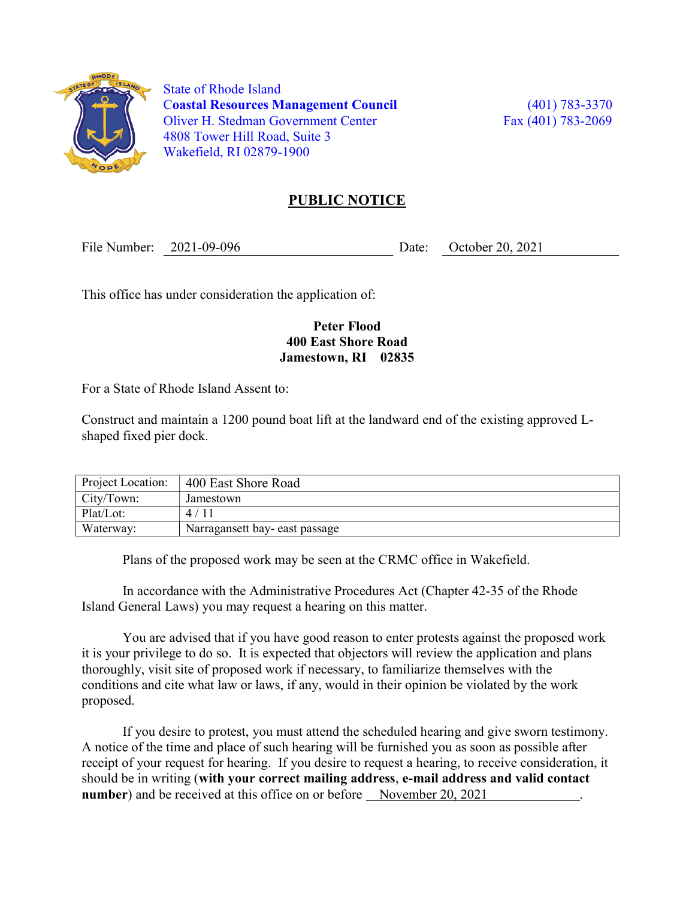

 State of Rhode Island Coastal Resources Management Council (401) 783-3370 Oliver H. Stedman Government Center Fax (401) 783-2069 4808 Tower Hill Road, Suite 3 Wakefield, RI 02879-1900

## PUBLIC NOTICE

File Number: 2021-09-096 Date: October 20, 2021

This office has under consideration the application of:

## Peter Flood 400 East Shore Road Jamestown, RI 02835

For a State of Rhode Island Assent to:

Construct and maintain a 1200 pound boat lift at the landward end of the existing approved Lshaped fixed pier dock.

| Project Location: | 400 East Shore Road            |
|-------------------|--------------------------------|
| City/Town:        | Jamestown                      |
| Plat/Lot:         | 4/11                           |
| Waterway:         | Narragansett bay- east passage |

Plans of the proposed work may be seen at the CRMC office in Wakefield.

In accordance with the Administrative Procedures Act (Chapter 42-35 of the Rhode Island General Laws) you may request a hearing on this matter.

You are advised that if you have good reason to enter protests against the proposed work it is your privilege to do so. It is expected that objectors will review the application and plans thoroughly, visit site of proposed work if necessary, to familiarize themselves with the conditions and cite what law or laws, if any, would in their opinion be violated by the work proposed.

If you desire to protest, you must attend the scheduled hearing and give sworn testimony. A notice of the time and place of such hearing will be furnished you as soon as possible after receipt of your request for hearing. If you desire to request a hearing, to receive consideration, it should be in writing (with your correct mailing address, e-mail address and valid contact number) and be received at this office on or before November 20, 2021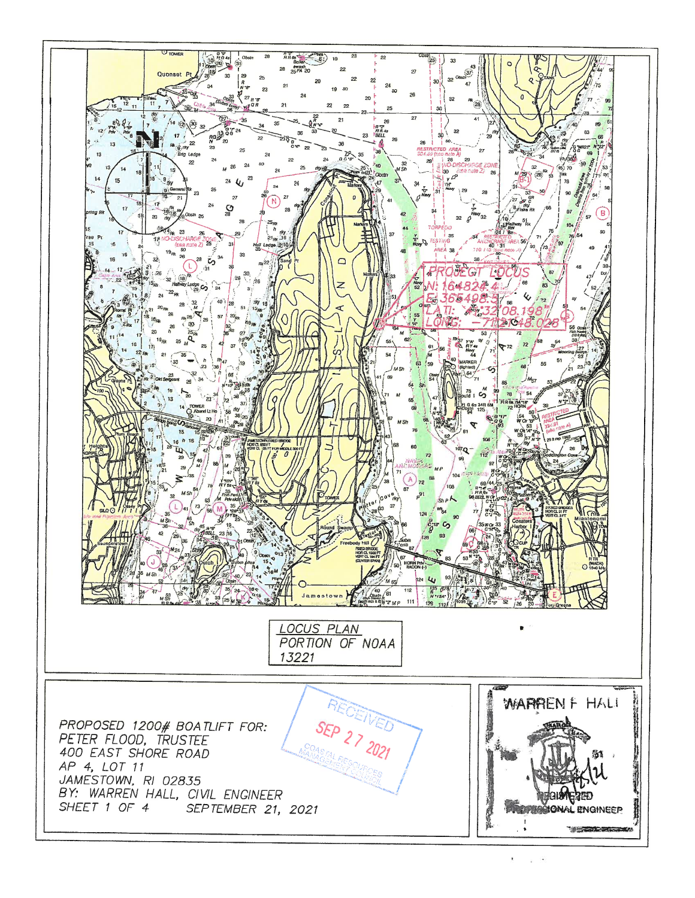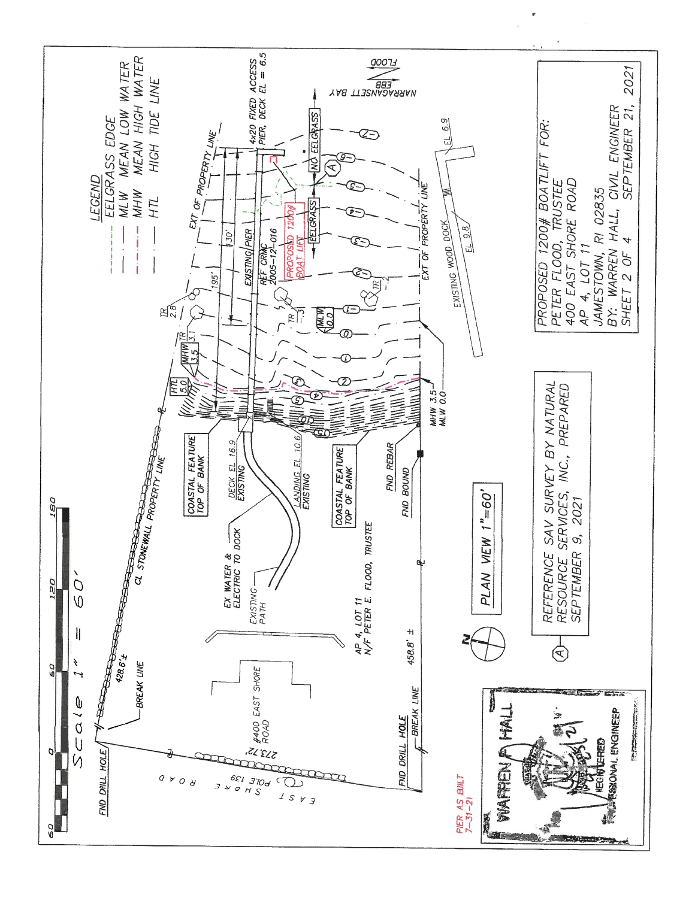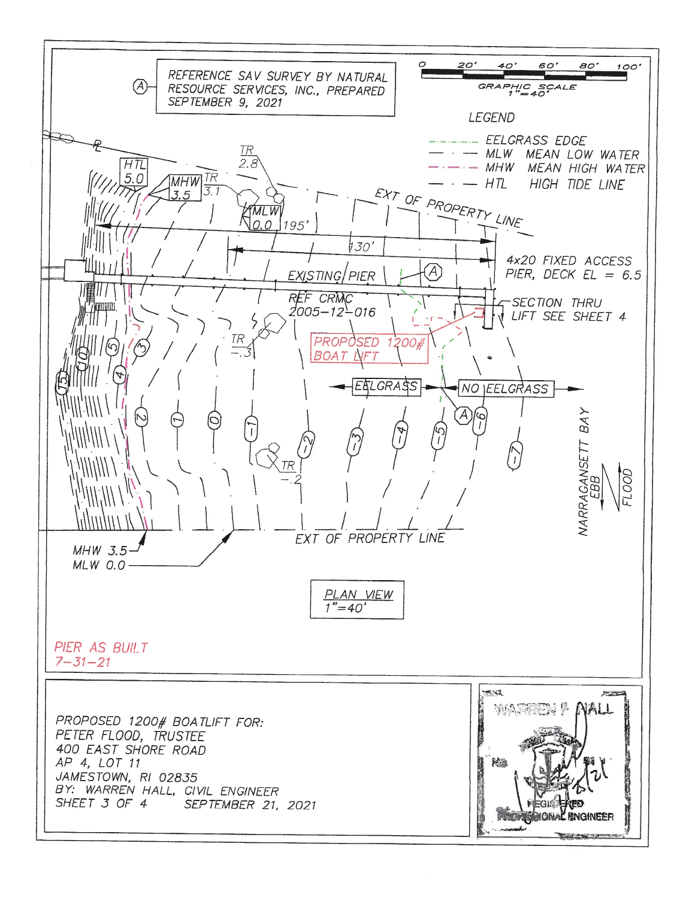